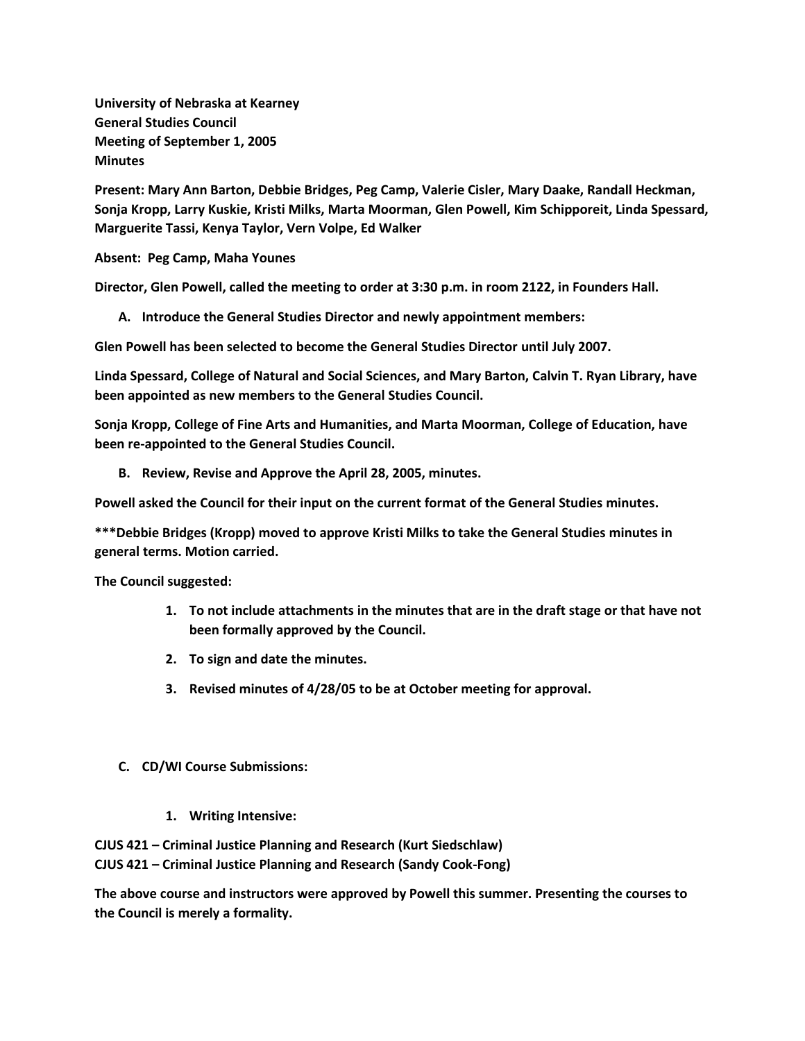**University of Nebraska at Kearney General Studies Council Meeting of September 1, 2005 Minutes**

**Present: Mary Ann Barton, Debbie Bridges, Peg Camp, Valerie Cisler, Mary Daake, Randall Heckman, Sonja Kropp, Larry Kuskie, Kristi Milks, Marta Moorman, Glen Powell, Kim Schipporeit, Linda Spessard, Marguerite Tassi, Kenya Taylor, Vern Volpe, Ed Walker**

**Absent: Peg Camp, Maha Younes**

**Director, Glen Powell, called the meeting to order at 3:30 p.m. in room 2122, in Founders Hall.**

**A. Introduce the General Studies Director and newly appointment members:**

**Glen Powell has been selected to become the General Studies Director until July 2007.**

**Linda Spessard, College of Natural and Social Sciences, and Mary Barton, Calvin T. Ryan Library, have been appointed as new members to the General Studies Council.**

**Sonja Kropp, College of Fine Arts and Humanities, and Marta Moorman, College of Education, have been re-appointed to the General Studies Council.**

**B. Review, Revise and Approve the April 28, 2005, minutes.**

**Powell asked the Council for their input on the current format of the General Studies minutes.**

**\*\*\*Debbie Bridges (Kropp) moved to approve Kristi Milks to take the General Studies minutes in general terms. Motion carried.**

**The Council suggested:**

- **1. To not include attachments in the minutes that are in the draft stage or that have not been formally approved by the Council.**
- **2. To sign and date the minutes.**
- **3. Revised minutes of 4/28/05 to be at October meeting for approval.**
- **C. CD/WI Course Submissions:**
	- **1. Writing Intensive:**

**CJUS 421 – Criminal Justice Planning and Research (Kurt Siedschlaw)**

**CJUS 421 – Criminal Justice Planning and Research (Sandy Cook-Fong)**

**The above course and instructors were approved by Powell this summer. Presenting the courses to the Council is merely a formality.**